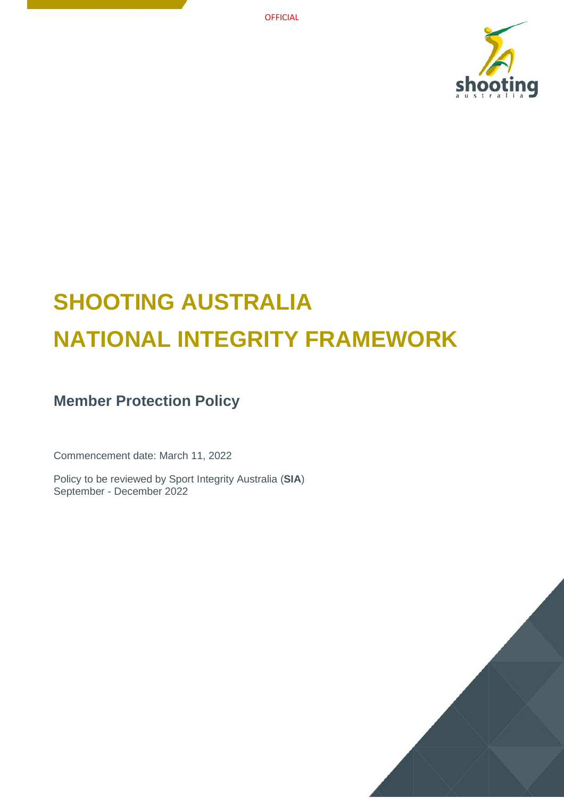

# **SHOOTING AUSTRALIA NATIONAL INTEGRITY FRAMEWORK**

# **Member Protection Policy**

Commencement date: March 11, 2022

Policy to be reviewed by Sport Integrity Australia (**SIA**) September - December 2022

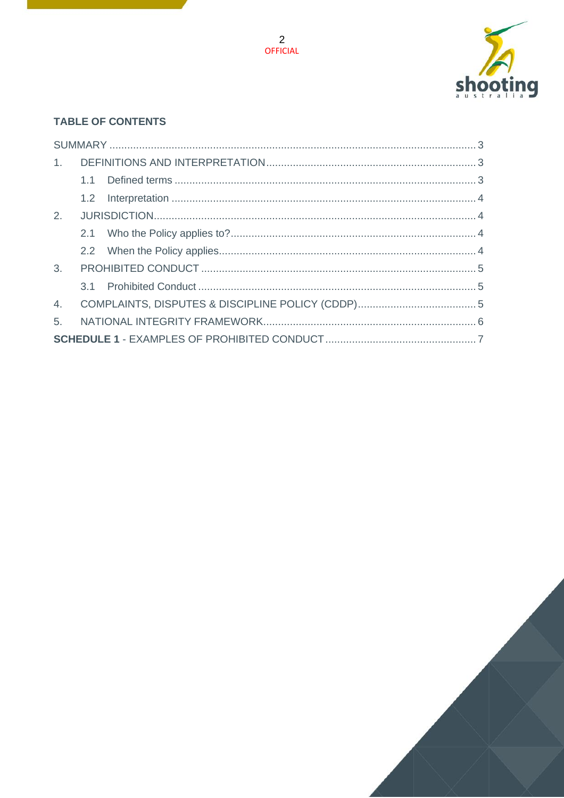

## **TABLE OF CONTENTS**

| 5. |  |  |  |
|----|--|--|--|
|    |  |  |  |

2<br>OFFICIAL

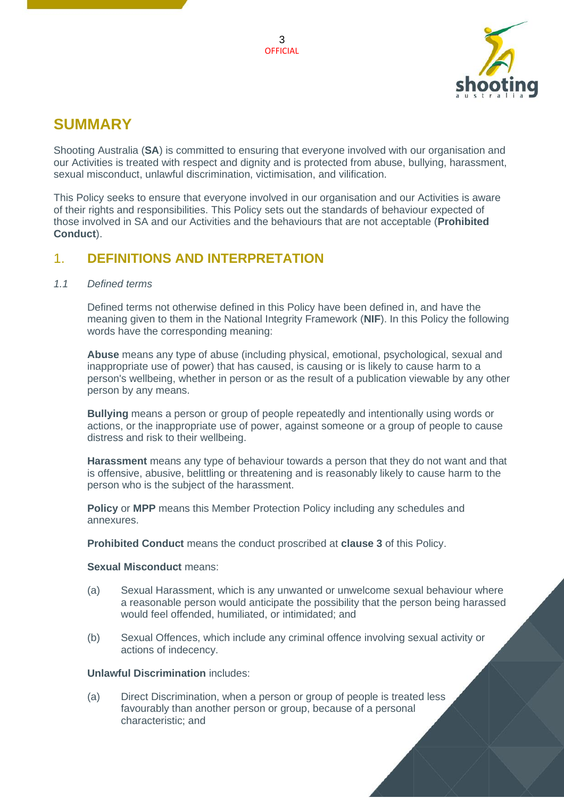

# <span id="page-2-0"></span>**SUMMARY**

Shooting Australia (**SA**) is committed to ensuring that everyone involved with our organisation and our Activities is treated with respect and dignity and is protected from abuse, bullying, harassment, sexual misconduct, unlawful discrimination, victimisation, and vilification.

This Policy seeks to ensure that everyone involved in our organisation and our Activities is aware of their rights and responsibilities. This Policy sets out the standards of behaviour expected of those involved in SA and our Activities and the behaviours that are not acceptable (**Prohibited Conduct**).

## <span id="page-2-1"></span>1. **DEFINITIONS AND INTERPRETATION**

#### <span id="page-2-2"></span>*1.1 Defined terms*

Defined terms not otherwise defined in this Policy have been defined in, and have the meaning given to them in the National Integrity Framework (**NIF**). In this Policy the following words have the corresponding meaning:

**Abuse** means any type of abuse (including physical, emotional, psychological, sexual and inappropriate use of power) that has caused, is causing or is likely to cause harm to a person's wellbeing, whether in person or as the result of a publication viewable by any other person by any means.

**Bullying** means a person or group of people repeatedly and intentionally using words or actions, or the inappropriate use of power, against someone or a group of people to cause distress and risk to their wellbeing.

**Harassment** means any type of behaviour towards a person that they do not want and that is offensive, abusive, belittling or threatening and is reasonably likely to cause harm to the person who is the subject of the harassment.

**Policy** or **MPP** means this Member Protection Policy including any schedules and annexures.

**Prohibited Conduct** means the conduct proscribed at **clause [3](#page-4-0)** of this Policy.

#### **Sexual Misconduct** means:

- (a) Sexual Harassment, which is any unwanted or unwelcome sexual behaviour where a reasonable person would anticipate the possibility that the person being harassed would feel offended, humiliated, or intimidated; and
- (b) Sexual Offences, which include any criminal offence involving sexual activity or actions of indecency.

#### **Unlawful Discrimination** includes:

(a) Direct Discrimination, when a person or group of people is treated less favourably than another person or group, because of a personal characteristic; and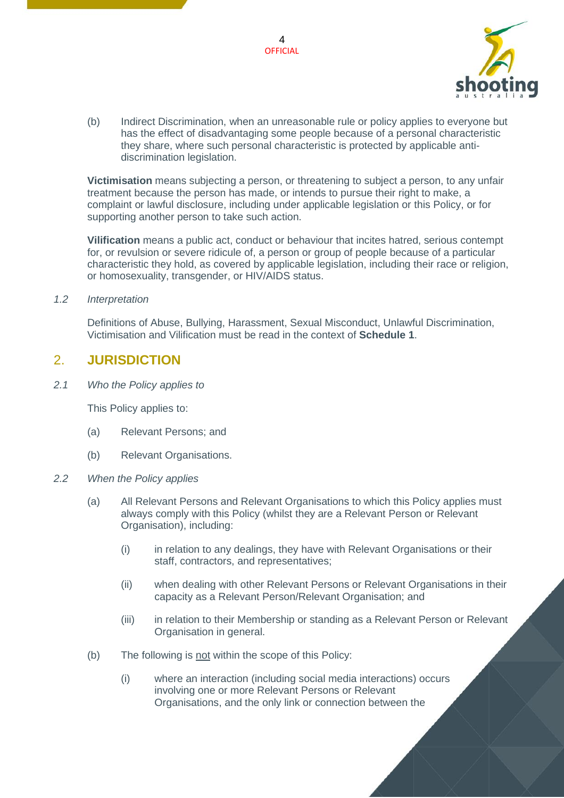

(b) Indirect Discrimination, when an unreasonable rule or policy applies to everyone but has the effect of disadvantaging some people because of a personal characteristic they share, where such personal characteristic is protected by applicable antidiscrimination legislation.

**Victimisation** means subjecting a person, or threatening to subject a person, to any unfair treatment because the person has made, or intends to pursue their right to make, a complaint or lawful disclosure, including under applicable legislation or this Policy, or for supporting another person to take such action.

**Vilification** means a public act, conduct or behaviour that incites hatred, serious contempt for, or revulsion or severe ridicule of, a person or group of people because of a particular characteristic they hold, as covered by applicable legislation, including their race or religion, or homosexuality, transgender, or HIV/AIDS status.

#### <span id="page-3-0"></span>*1.2 Interpretation*

Definitions of Abuse, Bullying, Harassment, Sexual Misconduct, Unlawful Discrimination, Victimisation and Vilification must be read in the context of **Schedule 1**.

### <span id="page-3-1"></span>2. **JURISDICTION**

<span id="page-3-2"></span>*2.1 Who the Policy applies to*

This Policy applies to:

- (a) Relevant Persons; and
- (b) Relevant Organisations.
- <span id="page-3-3"></span>*2.2 When the Policy applies*
	- (a) All Relevant Persons and Relevant Organisations to which this Policy applies must always comply with this Policy (whilst they are a Relevant Person or Relevant Organisation), including:
		- (i) in relation to any dealings, they have with Relevant Organisations or their staff, contractors, and representatives;
		- (ii) when dealing with other Relevant Persons or Relevant Organisations in their capacity as a Relevant Person/Relevant Organisation; and
		- (iii) in relation to their Membership or standing as a Relevant Person or Relevant Organisation in general.
	- (b) The following is not within the scope of this Policy:
		- (i) where an interaction (including social media interactions) occurs involving one or more Relevant Persons or Relevant Organisations, and the only link or connection between the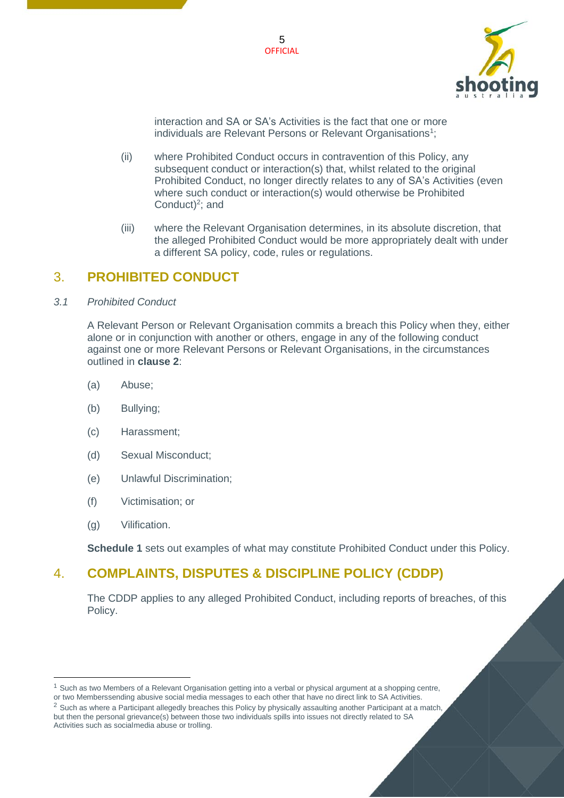



interaction and SA or SA's Activities is the fact that one or more individuals are Relevant Persons or Relevant Organisations<sup>1</sup>;

- (ii) where Prohibited Conduct occurs in contravention of this Policy, any subsequent conduct or interaction(s) that, whilst related to the original Prohibited Conduct, no longer directly relates to any of SA's Activities (even where such conduct or interaction(s) would otherwise be Prohibited Conduct) $2$ ; and
- (iii) where the Relevant Organisation determines, in its absolute discretion, that the alleged Prohibited Conduct would be more appropriately dealt with under a different SA policy, code, rules or regulations.

## <span id="page-4-0"></span>3. **PROHIBITED CONDUCT**

<span id="page-4-1"></span>*3.1 Prohibited Conduct*

A Relevant Person or Relevant Organisation commits a breach this Policy when they, either alone or in conjunction with another or others, engage in any of the following conduct against one or more Relevant Persons or Relevant Organisations, in the circumstances outlined in **clause [2](#page-3-1)**:

- (a) Abuse;
- (b) Bullying;
- (c) Harassment;
- (d) Sexual Misconduct;
- (e) Unlawful Discrimination;
- (f) Victimisation; or
- (g) Vilification.

**Schedule 1** sets out examples of what may constitute Prohibited Conduct under this Policy.

## <span id="page-4-2"></span>4. **COMPLAINTS, DISPUTES & DISCIPLINE POLICY (CDDP)**

The CDDP applies to any alleged Prohibited Conduct, including reports of breaches, of this Policy.

<sup>1</sup> Such as two Members of a Relevant Organisation getting into a verbal or physical argument at a shopping centre,

or two Memberssending abusive social media messages to each other that have no direct link to SA Activities.

<sup>&</sup>lt;sup>2</sup> Such as where a Participant allegedly breaches this Policy by physically assaulting another Participant at a match, but then the personal grievance(s) between those two individuals spills into issues not directly related to SA Activities such as social media abuse or trolling.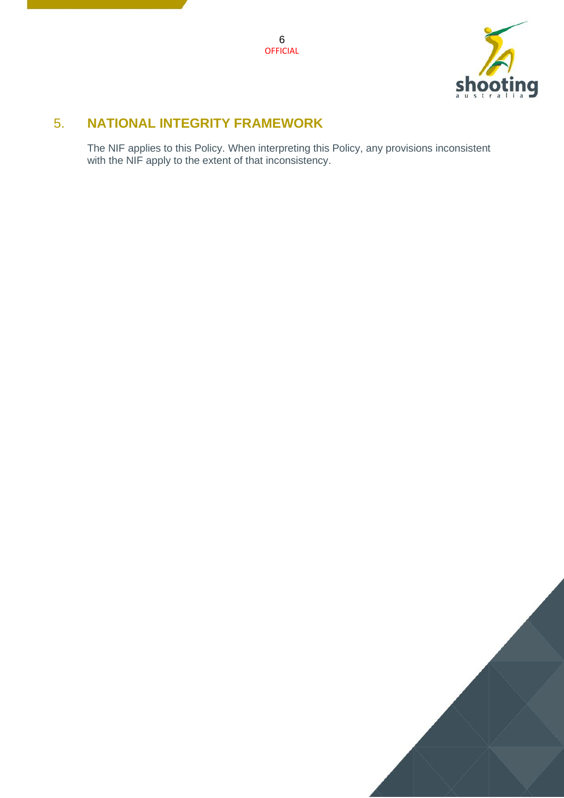

## <span id="page-5-0"></span>5. **NATIONAL INTEGRITY FRAMEWORK**

The NIF applies to this Policy. When interpreting this Policy, any provisions inconsistent with the NIF apply to the extent of that inconsistency.

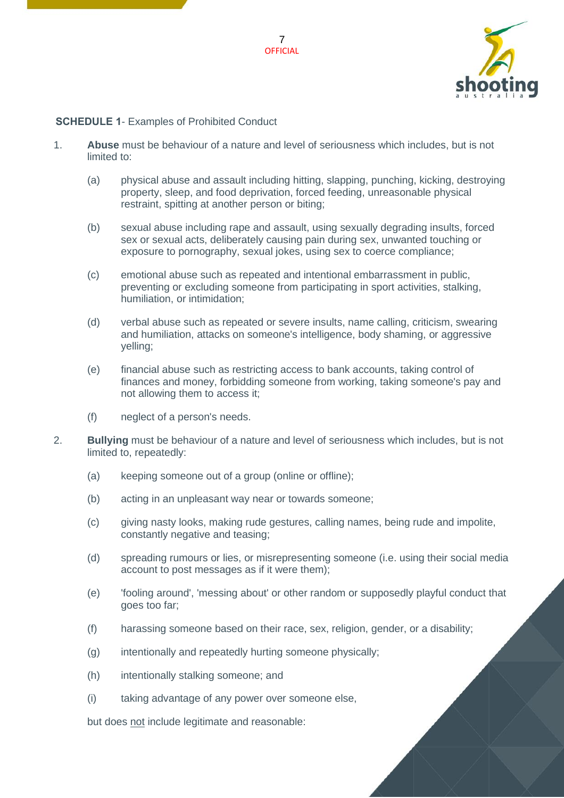



#### <span id="page-6-0"></span>**SCHEDULE 1**- Examples of Prohibited Conduct

- 1. **Abuse** must be behaviour of a nature and level of seriousness which includes, but is not limited to:
	- (a) physical abuse and assault including hitting, slapping, punching, kicking, destroying property, sleep, and food deprivation, forced feeding, unreasonable physical restraint, spitting at another person or biting;
	- (b) sexual abuse including rape and assault, using sexually degrading insults, forced sex or sexual acts, deliberately causing pain during sex, unwanted touching or exposure to pornography, sexual jokes, using sex to coerce compliance;
	- (c) emotional abuse such as repeated and intentional embarrassment in public, preventing or excluding someone from participating in sport activities, stalking, humiliation, or intimidation;
	- (d) verbal abuse such as repeated or severe insults, name calling, criticism, swearing and humiliation, attacks on someone's intelligence, body shaming, or aggressive yelling;
	- (e) financial abuse such as restricting access to bank accounts, taking control of finances and money, forbidding someone from working, taking someone's pay and not allowing them to access it;
	- (f) neglect of a person's needs.
- 2. **Bullying** must be behaviour of a nature and level of seriousness which includes, but is not limited to, repeatedly:
	- (a) keeping someone out of a group (online or offline);
	- (b) acting in an unpleasant way near or towards someone;
	- (c) giving nasty looks, making rude gestures, calling names, being rude and impolite, constantly negative and teasing;
	- (d) spreading rumours or lies, or misrepresenting someone (i.e. using their social media account to post messages as if it were them);
	- (e) 'fooling around', 'messing about' or other random or supposedly playful conduct that goes too far;
	- (f) harassing someone based on their race, sex, religion, gender, or a disability;
	- (g) intentionally and repeatedly hurting someone physically;
	- (h) intentionally stalking someone; and
	- (i) taking advantage of any power over someone else,

but does not include legitimate and reasonable: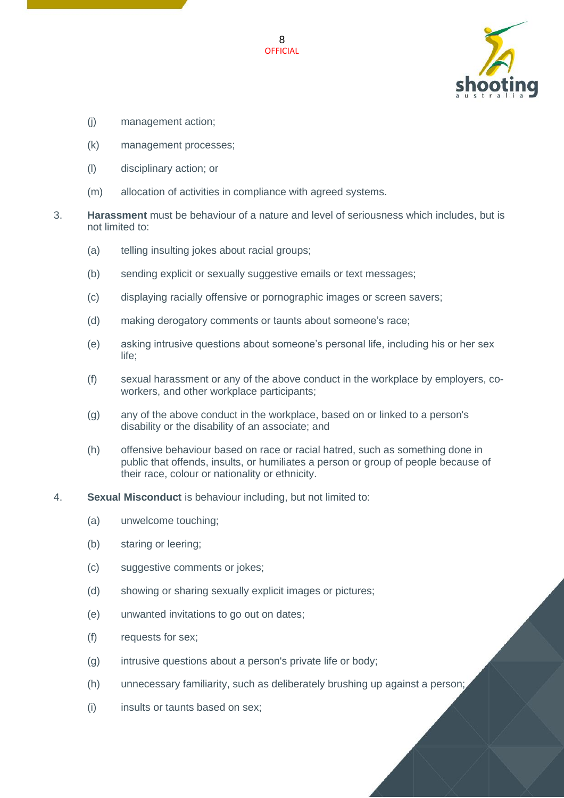

- (j) management action;
- (k) management processes;
- (l) disciplinary action; or
- (m) allocation of activities in compliance with agreed systems.
- 3. **Harassment** must be behaviour of a nature and level of seriousness which includes, but is not limited to:
	- (a) telling insulting jokes about racial groups;
	- (b) sending explicit or sexually suggestive emails or text messages;
	- (c) displaying racially offensive or pornographic images or screen savers;
	- (d) making derogatory comments or taunts about someone's race;
	- (e) asking intrusive questions about someone's personal life, including his or her sex life;
	- (f) sexual harassment or any of the above conduct in the workplace by employers, coworkers, and other workplace participants;
	- (g) any of the above conduct in the workplace, based on or linked to a person's disability or the disability of an associate; and
	- (h) offensive behaviour based on race or racial hatred, such as something done in public that offends, insults, or humiliates a person or group of people because of their race, colour or nationality or ethnicity.
- 4. **Sexual Misconduct** is behaviour including, but not limited to:
	- (a) unwelcome touching;
	- (b) staring or leering;
	- (c) suggestive comments or jokes;
	- (d) showing or sharing sexually explicit images or pictures;
	- (e) unwanted invitations to go out on dates;
	- (f) requests for sex;
	- (g) intrusive questions about a person's private life or body;
	- (h) unnecessary familiarity, such as deliberately brushing up against a person;
	- (i) insults or taunts based on sex;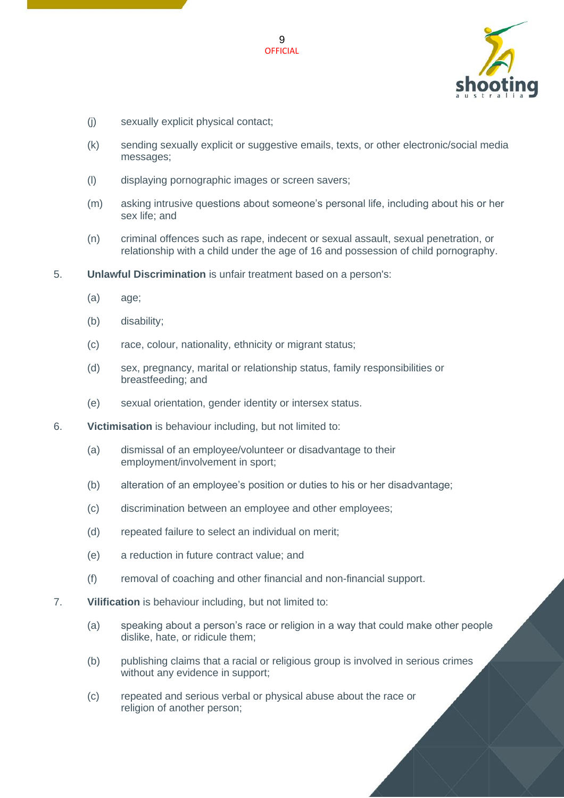

- (j) sexually explicit physical contact;
- (k) sending sexually explicit or suggestive emails, texts, or other electronic/social media messages;
- (l) displaying pornographic images or screen savers;
- (m) asking intrusive questions about someone's personal life, including about his or her sex life; and
- (n) criminal offences such as rape, indecent or sexual assault, sexual penetration, or relationship with a child under the age of 16 and possession of child pornography.
- 5. **Unlawful Discrimination** is unfair treatment based on a person's:
	- (a) age;
	- (b) disability;
	- (c) race, colour, nationality, ethnicity or migrant status;
	- (d) sex, pregnancy, marital or relationship status, family responsibilities or breastfeeding; and
	- (e) sexual orientation, gender identity or intersex status.
- 6. **Victimisation** is behaviour including, but not limited to:
	- (a) dismissal of an employee/volunteer or disadvantage to their employment/involvement in sport;
	- (b) alteration of an employee's position or duties to his or her disadvantage;
	- (c) discrimination between an employee and other employees;
	- (d) repeated failure to select an individual on merit;
	- (e) a reduction in future contract value; and
	- (f) removal of coaching and other financial and non-financial support.
- 7. **Vilification** is behaviour including, but not limited to:
	- (a) speaking about a person's race or religion in a way that could make other people dislike, hate, or ridicule them;
	- (b) publishing claims that a racial or religious group is involved in serious crimes without any evidence in support;
	- (c) repeated and serious verbal or physical abuse about the race or religion of another person;